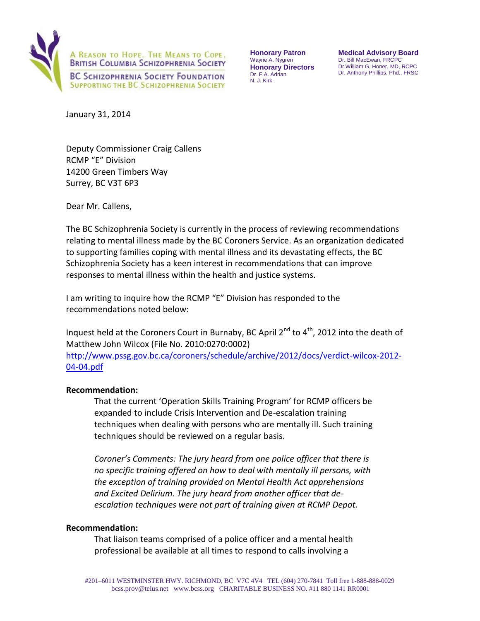

**Honorary Patron**  Wayne A. Nygren **Honorary Directors**  Dr. F.A. Adrian N. J. Kirk

**Medical Advisory Board**  Dr. Bill MacEwan, FRCPC Dr.William G. Honer, MD, RCPC Dr. Anthony Phillips, Phd., FRSC

January 31, 2014

Deputy Commissioner Craig Callens RCMP "E" Division 14200 Green Timbers Way Surrey, BC V3T 6P3

Dear Mr. Callens,

The BC Schizophrenia Society is currently in the process of reviewing recommendations relating to mental illness made by the BC Coroners Service. As an organization dedicated to supporting families coping with mental illness and its devastating effects, the BC Schizophrenia Society has a keen interest in recommendations that can improve responses to mental illness within the health and justice systems.

I am writing to inquire how the RCMP "E" Division has responded to the recommendations noted below:

Inquest held at the Coroners Court in Burnaby, BC April 2<sup>nd</sup> to 4<sup>th</sup>, 2012 into the death of Matthew John Wilcox (File No. 2010:0270:0002) [http://www.pssg.gov.bc.ca/coroners/schedule/archive/2012/docs/verdict-wilcox-2012-](http://www.pssg.gov.bc.ca/coroners/schedule/archive/2012/docs/verdict-wilcox-2012-04-04.pdf)

[04-04.pdf](http://www.pssg.gov.bc.ca/coroners/schedule/archive/2012/docs/verdict-wilcox-2012-04-04.pdf)

# **Recommendation:**

That the current 'Operation Skills Training Program' for RCMP officers be expanded to include Crisis Intervention and De-escalation training techniques when dealing with persons who are mentally ill. Such training techniques should be reviewed on a regular basis.

*Coroner's Comments: The jury heard from one police officer that there is no specific training offered on how to deal with mentally ill persons, with the exception of training provided on Mental Health Act apprehensions and Excited Delirium. The jury heard from another officer that deescalation techniques were not part of training given at RCMP Depot.* 

# **Recommendation:**

That liaison teams comprised of a police officer and a mental health professional be available at all times to respond to calls involving a